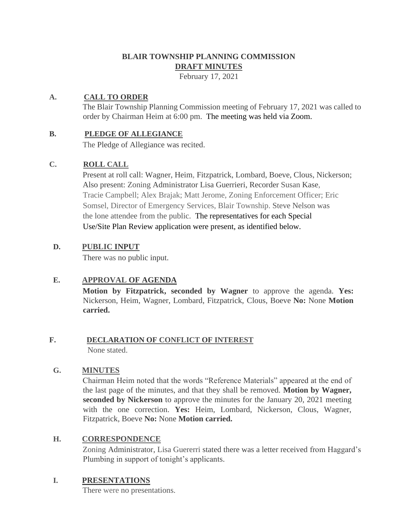## **BLAIR TOWNSHIP PLANNING COMMISSION DRAFT MINUTES**

February 17, 2021

## **A. CALL TO ORDER**

The Blair Township Planning Commission meeting of February 17, 2021 was called to order by Chairman Heim at 6:00 pm. The meeting was held via Zoom.

## **B. PLEDGE OF ALLEGIANCE**

The Pledge of Allegiance was recited.

## **C. ROLL CALL**

Present at roll call: Wagner, Heim, Fitzpatrick, Lombard, Boeve, Clous, Nickerson; Also present: Zoning Administrator Lisa Guerrieri, Recorder Susan Kase, Tracie Campbell; Alex Brajak; Matt Jerome, Zoning Enforcement Officer; Eric Somsel, Director of Emergency Services, Blair Township. Steve Nelson was the lone attendee from the public. The representatives for each Special Use/Site Plan Review application were present, as identified below.

## **D. PUBLIC INPUT**

There was no public input.

## **E. APPROVAL OF AGENDA**

**Motion by Fitzpatrick, seconded by Wagner** to approve the agenda. **Yes:**  Nickerson, Heim, Wagner, Lombard, Fitzpatrick, Clous, Boeve **No:** None **Motion carried.**

# **F. DECLARATION OF CONFLICT OF INTEREST**

None stated.

## **G. MINUTES**

Chairman Heim noted that the words "Reference Materials" appeared at the end of the last page of the minutes, and that they shall be removed. **Motion by Wagner, seconded by Nickerson** to approve the minutes for the January 20, 2021 meeting with the one correction. **Yes:** Heim, Lombard, Nickerson, Clous, Wagner, Fitzpatrick, Boeve **No:** None **Motion carried.**

## **H. CORRESPONDENCE**

Zoning Administrator, Lisa Guererri stated there was a letter received from Haggard's Plumbing in support of tonight's applicants.

## **I. PRESENTATIONS**

There were no presentations.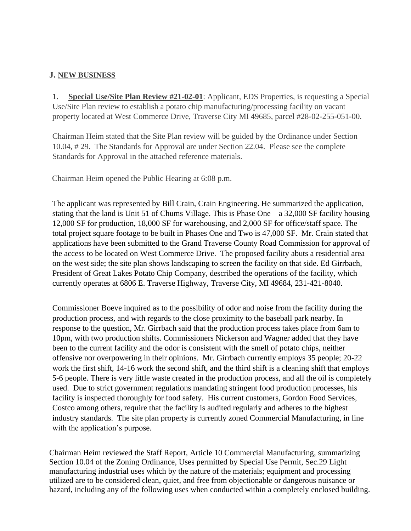#### **J. NEW BUSINESS**

**1. Special Use/Site Plan Review #21-02-01**: Applicant, EDS Properties, is requesting a Special Use/Site Plan review to establish a potato chip manufacturing/processing facility on vacant property located at West Commerce Drive, Traverse City MI 49685, parcel #28-02-255-051-00.

Chairman Heim stated that the Site Plan review will be guided by the Ordinance under Section 10.04, # 29. The Standards for Approval are under Section 22.04. Please see the complete Standards for Approval in the attached reference materials.

Chairman Heim opened the Public Hearing at 6:08 p.m.

The applicant was represented by Bill Crain, Crain Engineering. He summarized the application, stating that the land is Unit 51 of Chums Village. This is Phase One – a 32,000 SF facility housing 12,000 SF for production, 18,000 SF for warehousing, and 2,000 SF for office/staff space. The total project square footage to be built in Phases One and Two is 47,000 SF. Mr. Crain stated that applications have been submitted to the Grand Traverse County Road Commission for approval of the access to be located on West Commerce Drive. The proposed facility abuts a residential area on the west side; the site plan shows landscaping to screen the facility on that side. Ed Girrbach, President of Great Lakes Potato Chip Company, described the operations of the facility, which currently operates at 6806 E. Traverse Highway, Traverse City, MI 49684, 231-421-8040.

Commissioner Boeve inquired as to the possibility of odor and noise from the facility during the production process, and with regards to the close proximity to the baseball park nearby. In response to the question, Mr. Girrbach said that the production process takes place from 6am to 10pm, with two production shifts. Commissioners Nickerson and Wagner added that they have been to the current facility and the odor is consistent with the smell of potato chips, neither offensive nor overpowering in their opinions. Mr. Girrbach currently employs 35 people; 20-22 work the first shift, 14-16 work the second shift, and the third shift is a cleaning shift that employs 5-6 people. There is very little waste created in the production process, and all the oil is completely used. Due to strict government regulations mandating stringent food production processes, his facility is inspected thoroughly for food safety. His current customers, Gordon Food Services, Costco among others, require that the facility is audited regularly and adheres to the highest industry standards. The site plan property is currently zoned Commercial Manufacturing, in line with the application's purpose.

Chairman Heim reviewed the Staff Report, Article 10 Commercial Manufacturing, summarizing Section 10.04 of the Zoning Ordinance, Uses permitted by Special Use Permit, Sec.29 Light manufacturing industrial uses which by the nature of the materials; equipment and processing utilized are to be considered clean, quiet, and free from objectionable or dangerous nuisance or hazard, including any of the following uses when conducted within a completely enclosed building.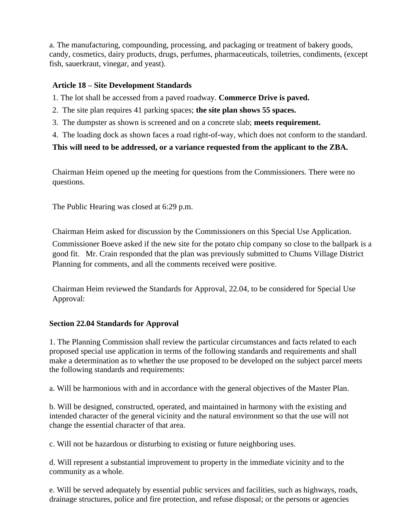a. The manufacturing, compounding, processing, and packaging or treatment of bakery goods, candy, cosmetics, dairy products, drugs, perfumes, pharmaceuticals, toiletries, condiments, (except fish, sauerkraut, vinegar, and yeast).

## **Article 18 – Site Development Standards**

1. The lot shall be accessed from a paved roadway. **Commerce Drive is paved.**

- 2. The site plan requires 41 parking spaces; **the site plan shows 55 spaces.**
- 3. The dumpster as shown is screened and on a concrete slab; **meets requirement.**
- 4. The loading dock as shown faces a road right-of-way, which does not conform to the standard.

## **This will need to be addressed, or a variance requested from the applicant to the ZBA.**

Chairman Heim opened up the meeting for questions from the Commissioners. There were no questions.

The Public Hearing was closed at 6:29 p.m.

Chairman Heim asked for discussion by the Commissioners on this Special Use Application. Commissioner Boeve asked if the new site for the potato chip company so close to the ballpark is a good fit. Mr. Crain responded that the plan was previously submitted to Chums Village District Planning for comments, and all the comments received were positive.

Chairman Heim reviewed the Standards for Approval, 22.04, to be considered for Special Use Approval:

## **Section 22.04 Standards for Approval**

1. The Planning Commission shall review the particular circumstances and facts related to each proposed special use application in terms of the following standards and requirements and shall make a determination as to whether the use proposed to be developed on the subject parcel meets the following standards and requirements:

a. Will be harmonious with and in accordance with the general objectives of the Master Plan.

b. Will be designed, constructed, operated, and maintained in harmony with the existing and intended character of the general vicinity and the natural environment so that the use will not change the essential character of that area.

c. Will not be hazardous or disturbing to existing or future neighboring uses.

d. Will represent a substantial improvement to property in the immediate vicinity and to the community as a whole.

e. Will be served adequately by essential public services and facilities, such as highways, roads, drainage structures, police and fire protection, and refuse disposal; or the persons or agencies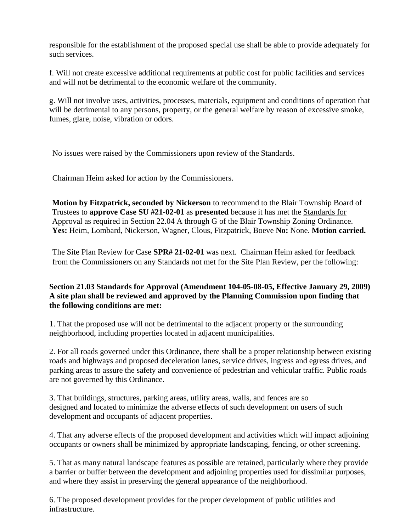responsible for the establishment of the proposed special use shall be able to provide adequately for such services.

f. Will not create excessive additional requirements at public cost for public facilities and services and will not be detrimental to the economic welfare of the community.

g. Will not involve uses, activities, processes, materials, equipment and conditions of operation that will be detrimental to any persons, property, or the general welfare by reason of excessive smoke, fumes, glare, noise, vibration or odors.

No issues were raised by the Commissioners upon review of the Standards.

Chairman Heim asked for action by the Commissioners.

**Motion by Fitzpatrick, seconded by Nickerson** to recommend to the Blair Township Board of Trustees to **approve Case SU #21-02-01** as **presented** because it has met the Standards for Approval as required in Section 22.04 A through G of the Blair Township Zoning Ordinance. **Yes:** Heim, Lombard, Nickerson, Wagner, Clous, Fitzpatrick, Boeve **No:** None. **Motion carried.** 

The Site Plan Review for Case **SPR# 21-02-01** was next. Chairman Heim asked for feedback from the Commissioners on any Standards not met for the Site Plan Review, per the following:

## **Section 21.03 Standards for Approval (Amendment 104-05-08-05, Effective January 29, 2009) A site plan shall be reviewed and approved by the Planning Commission upon finding that the following conditions are met:**

1. That the proposed use will not be detrimental to the adjacent property or the surrounding neighborhood, including properties located in adjacent municipalities.

2. For all roads governed under this Ordinance, there shall be a proper relationship between existing roads and highways and proposed deceleration lanes, service drives, ingress and egress drives, and parking areas to assure the safety and convenience of pedestrian and vehicular traffic. Public roads are not governed by this Ordinance.

3. That buildings, structures, parking areas, utility areas, walls, and fences are so designed and located to minimize the adverse effects of such development on users of such development and occupants of adjacent properties.

4. That any adverse effects of the proposed development and activities which will impact adjoining occupants or owners shall be minimized by appropriate landscaping, fencing, or other screening.

5. That as many natural landscape features as possible are retained, particularly where they provide a barrier or buffer between the development and adjoining properties used for dissimilar purposes, and where they assist in preserving the general appearance of the neighborhood.

6. The proposed development provides for the proper development of public utilities and infrastructure.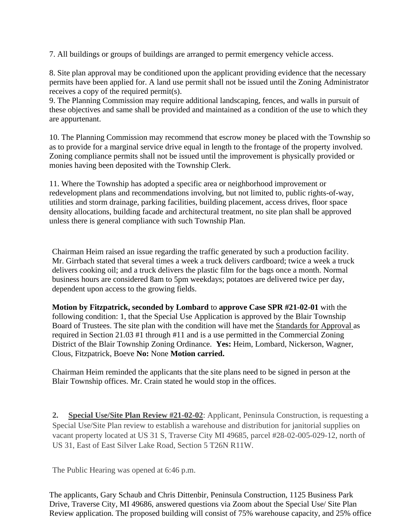7. All buildings or groups of buildings are arranged to permit emergency vehicle access.

8. Site plan approval may be conditioned upon the applicant providing evidence that the necessary permits have been applied for. A land use permit shall not be issued until the Zoning Administrator receives a copy of the required permit(s).

9. The Planning Commission may require additional landscaping, fences, and walls in pursuit of these objectives and same shall be provided and maintained as a condition of the use to which they are appurtenant.

10. The Planning Commission may recommend that escrow money be placed with the Township so as to provide for a marginal service drive equal in length to the frontage of the property involved. Zoning compliance permits shall not be issued until the improvement is physically provided or monies having been deposited with the Township Clerk.

11. Where the Township has adopted a specific area or neighborhood improvement or redevelopment plans and recommendations involving, but not limited to, public rights-of-way, utilities and storm drainage, parking facilities, building placement, access drives, floor space density allocations, building facade and architectural treatment, no site plan shall be approved unless there is general compliance with such Township Plan.

Chairman Heim raised an issue regarding the traffic generated by such a production facility. Mr. Girrbach stated that several times a week a truck delivers cardboard; twice a week a truck delivers cooking oil; and a truck delivers the plastic film for the bags once a month. Normal business hours are considered 8am to 5pm weekdays; potatoes are delivered twice per day, dependent upon access to the growing fields.

**Motion by Fitzpatrick, seconded by Lombard** to **approve Case SPR #21-02-01** with the following condition: 1, that the Special Use Application is approved by the Blair Township Board of Trustees. The site plan with the condition will have met the Standards for Approval as required in Section 21.03 #1 through #11 and is a use permitted in the Commercial Zoning District of the Blair Township Zoning Ordinance. **Yes:** Heim, Lombard, Nickerson, Wagner, Clous, Fitzpatrick, Boeve **No:** None **Motion carried.** 

Chairman Heim reminded the applicants that the site plans need to be signed in person at the Blair Township offices. Mr. Crain stated he would stop in the offices.

**2. Special Use/Site Plan Review #21-02-02**: Applicant, Peninsula Construction, is requesting a Special Use/Site Plan review to establish a warehouse and distribution for janitorial supplies on vacant property located at US 31 S, Traverse City MI 49685, parcel #28-02-005-029-12, north of US 31, East of East Silver Lake Road, Section 5 T26N R11W.

The Public Hearing was opened at 6:46 p.m.

The applicants, Gary Schaub and Chris Dittenbir, Peninsula Construction, 1125 Business Park Drive, Traverse City, MI 49686, answered questions via Zoom about the Special Use/ Site Plan Review application. The proposed building will consist of 75% warehouse capacity, and 25% office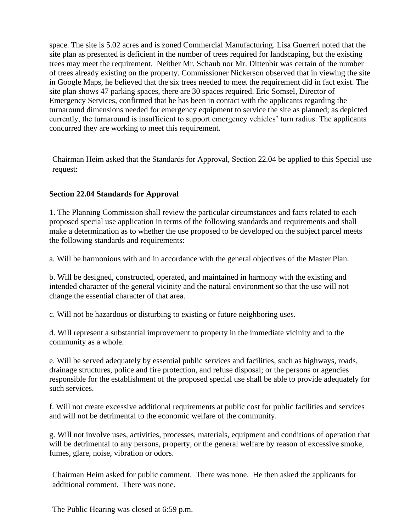space. The site is 5.02 acres and is zoned Commercial Manufacturing. Lisa Guerreri noted that the site plan as presented is deficient in the number of trees required for landscaping, but the existing trees may meet the requirement. Neither Mr. Schaub nor Mr. Dittenbir was certain of the number of trees already existing on the property. Commissioner Nickerson observed that in viewing the site in Google Maps, he believed that the six trees needed to meet the requirement did in fact exist. The site plan shows 47 parking spaces, there are 30 spaces required. Eric Somsel, Director of Emergency Services, confirmed that he has been in contact with the applicants regarding the turnaround dimensions needed for emergency equipment to service the site as planned; as depicted currently, the turnaround is insufficient to support emergency vehicles' turn radius. The applicants concurred they are working to meet this requirement.

Chairman Heim asked that the Standards for Approval, Section 22.04 be applied to this Special use request:

#### **Section 22.04 Standards for Approval**

1. The Planning Commission shall review the particular circumstances and facts related to each proposed special use application in terms of the following standards and requirements and shall make a determination as to whether the use proposed to be developed on the subject parcel meets the following standards and requirements:

a. Will be harmonious with and in accordance with the general objectives of the Master Plan.

b. Will be designed, constructed, operated, and maintained in harmony with the existing and intended character of the general vicinity and the natural environment so that the use will not change the essential character of that area.

c. Will not be hazardous or disturbing to existing or future neighboring uses.

d. Will represent a substantial improvement to property in the immediate vicinity and to the community as a whole.

e. Will be served adequately by essential public services and facilities, such as highways, roads, drainage structures, police and fire protection, and refuse disposal; or the persons or agencies responsible for the establishment of the proposed special use shall be able to provide adequately for such services.

f. Will not create excessive additional requirements at public cost for public facilities and services and will not be detrimental to the economic welfare of the community.

g. Will not involve uses, activities, processes, materials, equipment and conditions of operation that will be detrimental to any persons, property, or the general welfare by reason of excessive smoke, fumes, glare, noise, vibration or odors.

Chairman Heim asked for public comment. There was none. He then asked the applicants for additional comment. There was none.

The Public Hearing was closed at 6:59 p.m.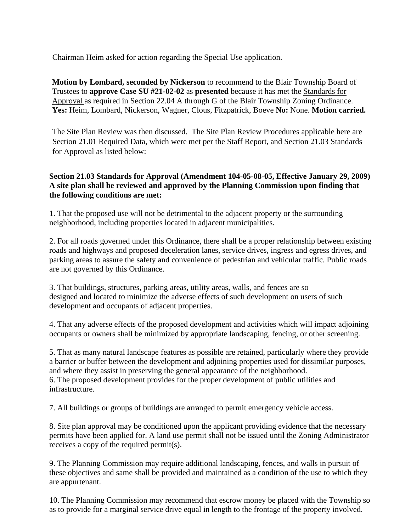Chairman Heim asked for action regarding the Special Use application.

**Motion by Lombard, seconded by Nickerson** to recommend to the Blair Township Board of Trustees to **approve Case SU #21-02-02** as **presented** because it has met the Standards for Approval as required in Section 22.04 A through G of the Blair Township Zoning Ordinance. **Yes:** Heim, Lombard, Nickerson, Wagner, Clous, Fitzpatrick, Boeve **No:** None. **Motion carried.** 

The Site Plan Review was then discussed. The Site Plan Review Procedures applicable here are Section 21.01 Required Data, which were met per the Staff Report, and Section 21.03 Standards for Approval as listed below:

## **Section 21.03 Standards for Approval (Amendment 104-05-08-05, Effective January 29, 2009) A site plan shall be reviewed and approved by the Planning Commission upon finding that the following conditions are met:**

1. That the proposed use will not be detrimental to the adjacent property or the surrounding neighborhood, including properties located in adjacent municipalities.

2. For all roads governed under this Ordinance, there shall be a proper relationship between existing roads and highways and proposed deceleration lanes, service drives, ingress and egress drives, and parking areas to assure the safety and convenience of pedestrian and vehicular traffic. Public roads are not governed by this Ordinance.

3. That buildings, structures, parking areas, utility areas, walls, and fences are so designed and located to minimize the adverse effects of such development on users of such development and occupants of adjacent properties.

4. That any adverse effects of the proposed development and activities which will impact adjoining occupants or owners shall be minimized by appropriate landscaping, fencing, or other screening.

5. That as many natural landscape features as possible are retained, particularly where they provide a barrier or buffer between the development and adjoining properties used for dissimilar purposes, and where they assist in preserving the general appearance of the neighborhood. 6. The proposed development provides for the proper development of public utilities and infrastructure.

7. All buildings or groups of buildings are arranged to permit emergency vehicle access.

8. Site plan approval may be conditioned upon the applicant providing evidence that the necessary permits have been applied for. A land use permit shall not be issued until the Zoning Administrator receives a copy of the required permit(s).

9. The Planning Commission may require additional landscaping, fences, and walls in pursuit of these objectives and same shall be provided and maintained as a condition of the use to which they are appurtenant.

10. The Planning Commission may recommend that escrow money be placed with the Township so as to provide for a marginal service drive equal in length to the frontage of the property involved.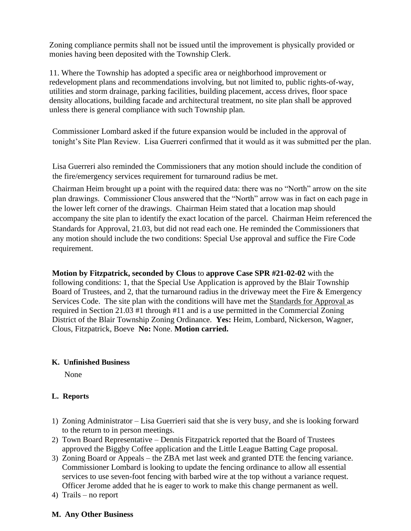Zoning compliance permits shall not be issued until the improvement is physically provided or monies having been deposited with the Township Clerk.

11. Where the Township has adopted a specific area or neighborhood improvement or redevelopment plans and recommendations involving, but not limited to, public rights-of-way, utilities and storm drainage, parking facilities, building placement, access drives, floor space density allocations, building facade and architectural treatment, no site plan shall be approved unless there is general compliance with such Township plan.

Commissioner Lombard asked if the future expansion would be included in the approval of tonight's Site Plan Review. Lisa Guerreri confirmed that it would as it was submitted per the plan.

Lisa Guerreri also reminded the Commissioners that any motion should include the condition of the fire/emergency services requirement for turnaround radius be met.

Chairman Heim brought up a point with the required data: there was no "North" arrow on the site plan drawings. Commissioner Clous answered that the "North" arrow was in fact on each page in the lower left corner of the drawings. Chairman Heim stated that a location map should accompany the site plan to identify the exact location of the parcel. Chairman Heim referenced the Standards for Approval, 21.03, but did not read each one. He reminded the Commissioners that any motion should include the two conditions: Special Use approval and suffice the Fire Code requirement.

**Motion by Fitzpatrick, seconded by Clous** to **approve Case SPR #21-02-02** with the following conditions: 1, that the Special Use Application is approved by the Blair Township Board of Trustees, and 2, that the turnaround radius in the driveway meet the Fire & Emergency Services Code. The site plan with the conditions will have met the Standards for Approval as required in Section 21.03 #1 through #11 and is a use permitted in the Commercial Zoning District of the Blair Township Zoning Ordinance. **Yes:** Heim, Lombard, Nickerson, Wagner, Clous, Fitzpatrick, Boeve **No:** None. **Motion carried.** 

#### **K. Unfinished Business**

None

## **L. Reports**

- 1) Zoning Administrator Lisa Guerrieri said that she is very busy, and she is looking forward to the return to in person meetings.
- 2) Town Board Representative Dennis Fitzpatrick reported that the Board of Trustees approved the Biggby Coffee application and the Little League Batting Cage proposal.
- 3) Zoning Board or Appeals the ZBA met last week and granted DTE the fencing variance. Commissioner Lombard is looking to update the fencing ordinance to allow all essential services to use seven-foot fencing with barbed wire at the top without a variance request. Officer Jerome added that he is eager to work to make this change permanent as well.
- 4) Trails no report

## **M. Any Other Business**